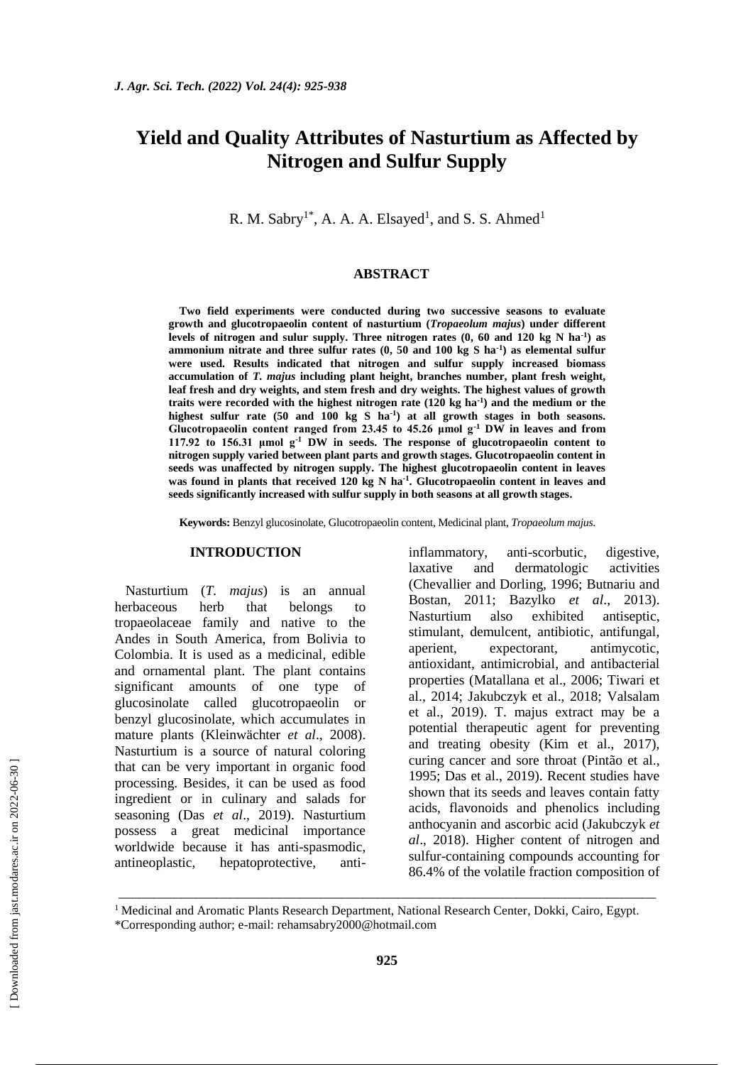# **Yield and Quality Attributes of Nasturtium as Affected by Nitrogen and Sulfur Supply**

R. M. Sabry<sup>1\*</sup>, A. A. A. Elsayed<sup>1</sup>, and S. S. Ahmed<sup>1</sup>

#### **ABSTRACT**

**Two field experiments were conducted during two successive seasons to evaluate growth and glucotropaeolin content of nasturtium (***Tropaeolum majus***) under different levels of nitrogen and sulur supply. Three nitrogen rates (0, 60 and 120 kg N ha-1 ) as ammonium nitrate and three sulfur rates (0, 50 and 100 kg S ha-1 ) as elemental sulfur were used. Results indicated that nitrogen and sulfur supply increased biomass accumulation of** *T. majus* **including plant height, branches number, plant fresh weight, leaf fresh and dry weights, and stem fresh and dry weights. The highest values of growth traits were recorded with the highest nitrogen rate (120 kg ha-1 ) and the medium or the highest sulfur rate (50 and 100 kg S ha-1 ) at all growth stages in both seasons. Glucotropaeolin content ranged from 23.45 to 45.26 μmol g-1 DW in leaves and from 117.92 to 156.31 μmol g-1 DW in seeds. The response of glucotropaeolin content to nitrogen supply varied between plant parts and growth stages. Glucotropaeolin content in seeds was unaffected by nitrogen supply. The highest glucotropaeolin content in leaves was found in plants that received 120 kg N ha-1 . Glucotropaeolin content in leaves and seeds significantly increased with sulfur supply in both seasons at all growth stages.** 

**Keywords:** Benzyl glucosinolate, Glucotropaeolin content, Medicinal plant, *Tropaeolum majus*.

#### **INTRODUCTION**

Nasturtium (*T. majus*) is an annual herbaceous herb that belongs to tropaeolaceae family and native to the Andes in South America, from Bolivia to Colombia. It is used as a medicinal, edible and ornamental plant. The plant contains significant amounts of one type of glucosinolate called glucotropaeolin or benzyl glucosinolate, which accumulates in mature plants (Kleinwächter *et al*., 2008). Nasturtium is a source of natural coloring that can be very important in organic food processing. Besides, it can be used as food ingredient or in culinary and salads for seasoning (Das *et al*., 2019). Nasturtium possess a great medicinal importance worldwide because it has anti-spasmodic, antineoplastic, hepatoprotective, antiinflammatory, anti-scorbutic, digestive, laxative and dermatologic activities (Chevallier and Dorling, 1996; Butnariu and Bostan, 2011; Bazylko *et al*., 2013). Nasturtium also exhibited antiseptic, stimulant, demulcent, antibiotic, antifungal, aperient, expectorant, antimycotic, antioxidant, antimicrobial, and antibacterial properties (Matallana et al., 2006; Tiwari et al., 2014; [Jakubczyk](https://pubmed.ncbi.nlm.nih.gov/?term=Jakubczyk+K&cauthor_id=29766690) et al., 2018; [Valsalam](https://pubmed.ncbi.nlm.nih.gov/?term=Valsalam+S&cauthor_id=30594044) et al., 2019). T. majus extract may be a potential therapeutic agent for preventing and treating obesity (Kim et al., 2017), curing cancer and sore throat [\(Pintão](https://pubmed.ncbi.nlm.nih.gov/?term=Pint%C3%A3o+AM&cauthor_id=7617765) et al., 1995; Das et al., 2019). Recent studies have shown that its seeds and leaves contain fatty acids, flavonoids and phenolics including anthocyanin and ascorbic acid [\(Jakubczyk](https://pubmed.ncbi.nlm.nih.gov/?term=Jakubczyk+K&cauthor_id=29766690) *et al*., 2018). Higher content of nitrogen and sulfur-containing compounds accounting for 86.4% of the volatile fraction composition of

<sup>1</sup> Medicinal and Aromatic Plants Research Department, National Research Center, Dokki, Cairo, Egypt.

\_\_\_\_\_\_\_\_\_\_\_\_\_\_\_\_\_\_\_\_\_\_\_\_\_\_\_\_\_\_\_\_\_\_\_\_\_\_\_\_\_\_\_\_\_\_\_\_\_\_\_\_\_\_\_\_\_\_\_\_\_\_\_\_\_\_\_\_\_\_\_\_\_\_\_\_\_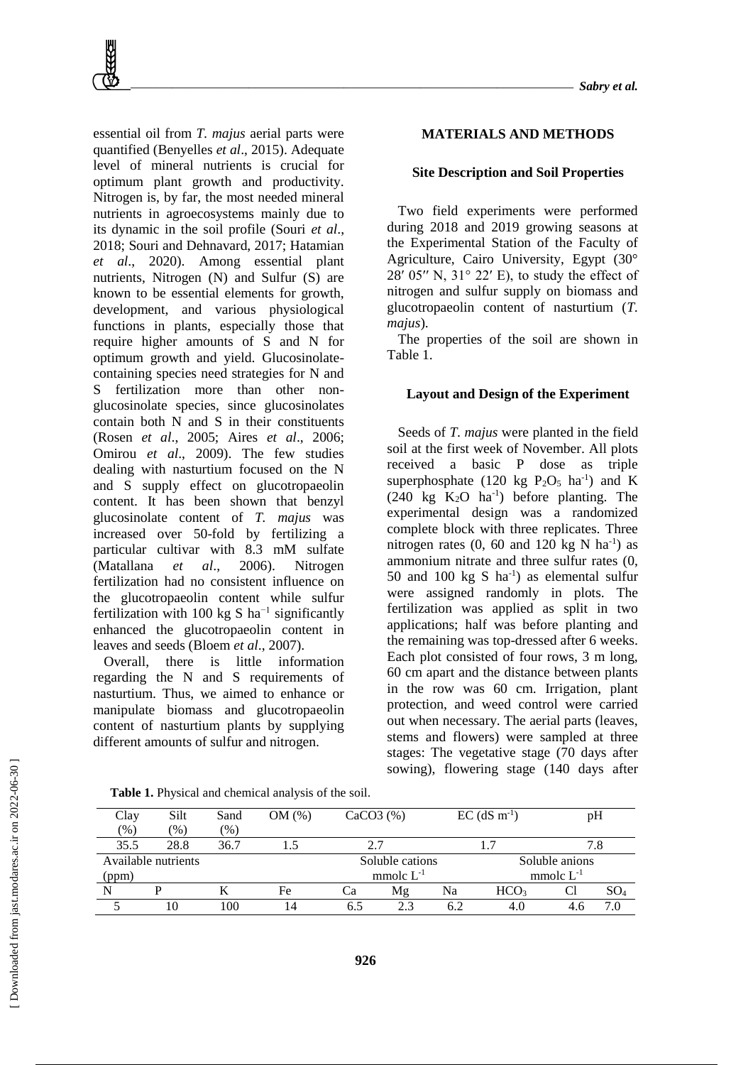essential oil from *T. majus* aerial parts were quantified (Benyelles *et al*., 2015). Adequate level of mineral nutrients is crucial for optimum plant growth and productivity. Nitrogen is, by far, the most needed mineral nutrients in agroecosystems mainly due to its dynamic in the soil profile (Souri *et al*., 2018; Souri and Dehnavard, 2017; Hatamian *et al*., 2020). Among essential plant nutrients, Nitrogen (N) and Sulfur (S) are known to be essential elements for growth, development, and various physiological functions in plants, especially those that require higher amounts of S and N for optimum growth and yield. Glucosinolatecontaining species need strategies for N and S fertilization more than other nonglucosinolate species, since glucosinolates contain both N and S in their constituents (Rosen *et al*., 2005; Aires *et al*., 2006; Omirou *et al*., 2009). The few studies dealing with nasturtium focused on the N and S supply effect on glucotropaeolin content. It has been shown that benzyl glucosinolate content of *T. majus* was increased over 50-fold by fertilizing a particular cultivar with 8.3 mM sulfate (Matallana *et al*., 2006). Nitrogen fertilization had no consistent influence on the glucotropaeolin content while sulfur fertilization with 100 kg S ha<sup>-1</sup> significantly enhanced the glucotropaeolin content in leaves and seeds (Bloem *et al*., 2007).

Overall, there is little information regarding the N and S requirements of nasturtium. Thus, we aimed to enhance or manipulate biomass and glucotropaeolin content of nasturtium plants by supplying different amounts of sulfur and nitrogen.

### **Site Description and Soil Properties**

Two field experiments were performed during 2018 and 2019 growing seasons at the Experimental Station of the Faculty of Agriculture, Cairo University, Egypt (30° 28′ 05″ N,  $31^\circ$  22′ E), to study the effect of nitrogen and sulfur supply on biomass and glucotropaeolin content of nasturtium (*T. majus*).

The properties of the soil are shown in Table 1.

#### **Layout and Design of the Experiment**

Seeds of *T. majus* were planted in the field soil at the first week of November. All plots received a basic P dose as triple superphosphate (120 kg  $P_2O_5$  ha<sup>-1</sup>) and K  $(240 \text{ kg } K_2\text{O } \text{ha}^{-1})$  before planting. The experimental design was a randomized complete block with three replicates. Three nitrogen rates  $(0, 60$  and  $120$  kg N ha<sup>-1</sup>) as ammonium nitrate and three sulfur rates (0, 50 and 100  $kg S$  ha<sup>-1</sup>) as elemental sulfur were assigned randomly in plots. The fertilization was applied as split in two applications; half was before planting and the remaining was top-dressed after 6 weeks. Each plot consisted of four rows, 3 m long, 60 cm apart and the distance between plants in the row was 60 cm. Irrigation, plant protection, and weed control were carried out when necessary. The aerial parts (leaves, stems and flowers) were sampled at three stages: The vegetative stage (70 days after sowing), flowering stage (140 days after

| Clay  | Silt                | Sand          | $OM(\%)$ | CaCO3(%)  |                 | $EC$ (dS $m^{-1}$ ) |                  | pH             |                 |  |
|-------|---------------------|---------------|----------|-----------|-----------------|---------------------|------------------|----------------|-----------------|--|
| (96)  | $\frac{9}{6}$ )     | $\frac{9}{6}$ |          |           |                 |                     |                  |                |                 |  |
| 35.5  | 28.8                | 36.7          |          | 2.7       |                 |                     |                  |                |                 |  |
|       | Available nutrients |               |          |           | Soluble cations |                     |                  | Soluble anions |                 |  |
| (ppm) |                     |               |          |           | mmolc $L^{-1}$  |                     | mmolc $L^{-1}$   |                |                 |  |
|       |                     |               | Fe       | <b>Ca</b> | Mg              | Na                  | HCO <sub>3</sub> | Cl             | $\mathrm{SO}_4$ |  |
|       | 10                  | 100           |          | 6.5       | 2.3             | 6.2                 | 4.0              |                | 7.0             |  |

**Table 1.** Physical and chemical analysis of the soil.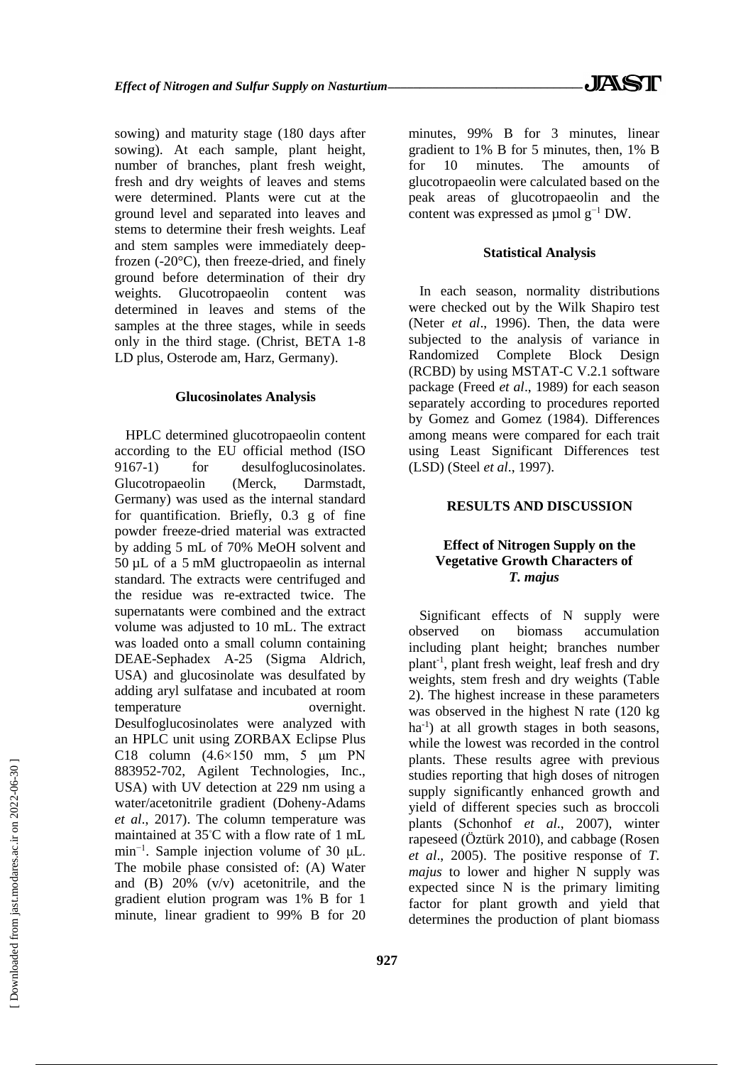sowing) and maturity stage (180 days after sowing). At each sample, plant height, number of branches, plant fresh weight, fresh and dry weights of leaves and stems were determined. Plants were cut at the ground level and separated into leaves and stems to determine their fresh weights. Leaf and stem samples were immediately deepfrozen (-20°C), then freeze-dried, and finely ground before determination of their dry weights. Glucotropaeolin content was determined in leaves and stems of the samples at the three stages, while in seeds only in the third stage. (Christ, BETA 1-8 LD plus, Osterode am, Harz, Germany).

#### **Glucosinolates Analysis**

HPLC determined glucotropaeolin content according to the EU official method (ISO 9167-1) for desulfoglucosinolates. Glucotropaeolin (Merck, Darmstadt, Germany) was used as the internal standard for quantification. Briefly, 0.3 g of fine powder freeze-dried material was extracted by adding 5 mL of 70% MeOH solvent and 50 µL of a 5 mM gluctropaeolin as internal standard. The extracts were centrifuged and the residue was re-extracted twice. The supernatants were combined and the extract volume was adjusted to 10 mL. The extract was loaded onto a small column containing DEAE-Sephadex A-25 (Sigma Aldrich, USA) and glucosinolate was desulfated by adding aryl sulfatase and incubated at room temperature overnight. Desulfoglucosinolates were analyzed with an HPLC unit using ZORBAX Eclipse Plus C18 column  $(4.6\times150$  mm, 5  $\mu$ m PN 883952-702, Agilent Technologies, Inc., USA) with UV detection at 229 nm using a water/acetonitrile gradient (Doheny-Adams *et al*., 2017). The column temperature was maintained at 35◦C with a flow rate of 1 mL min−1. Sample injection volume of 30 μL. The mobile phase consisted of: (A) Water and (B) 20% (v/v) acetonitrile, and the gradient elution program was 1% B for 1 minute, linear gradient to 99% B for 20 minutes, 99% B for 3 minutes, linear gradient to 1% B for 5 minutes, then, 1% B for 10 minutes. The amounts of glucotropaeolin were calculated based on the peak areas of glucotropaeolin and the content was expressed as µmol g−1 DW.

#### **Statistical Analysis**

In each season, normality distributions were checked out by the Wilk Shapiro test (Neter *et al*., 1996). Then, the data were subjected to the analysis of variance in Randomized Complete Block Design (RCBD) by using MSTAT-C V.2.1 software package (Freed *et al*., 1989) for each season separately according to procedures reported by Gomez and Gomez (1984). Differences among means were compared for each trait using Least Significant Differences test (LSD) (Steel *et al*., 1997).

## **RESULTS AND DISCUSSION**

## **Effect of Nitrogen Supply on the Vegetative Growth Characters of**  *T. majus*

Significant effects of N supply were observed on biomass accumulation including plant height; branches number plant-1 , plant fresh weight, leaf fresh and dry weights, stem fresh and dry weights (Table 2). The highest increase in these parameters was observed in the highest N rate (120 kg ha<sup>-1</sup>) at all growth stages in both seasons, while the lowest was recorded in the control plants. These results agree with previous studies reporting that high doses of nitrogen supply significantly enhanced growth and yield of different species such as broccoli plants (Schonhof *et al*., 2007), winter rapeseed (Öztürk 2010), and cabbage (Rosen *et al*., 2005). The positive response of *T. majus* to lower and higher N supply was expected since N is the primary limiting factor for plant growth and yield that determines the production of plant biomass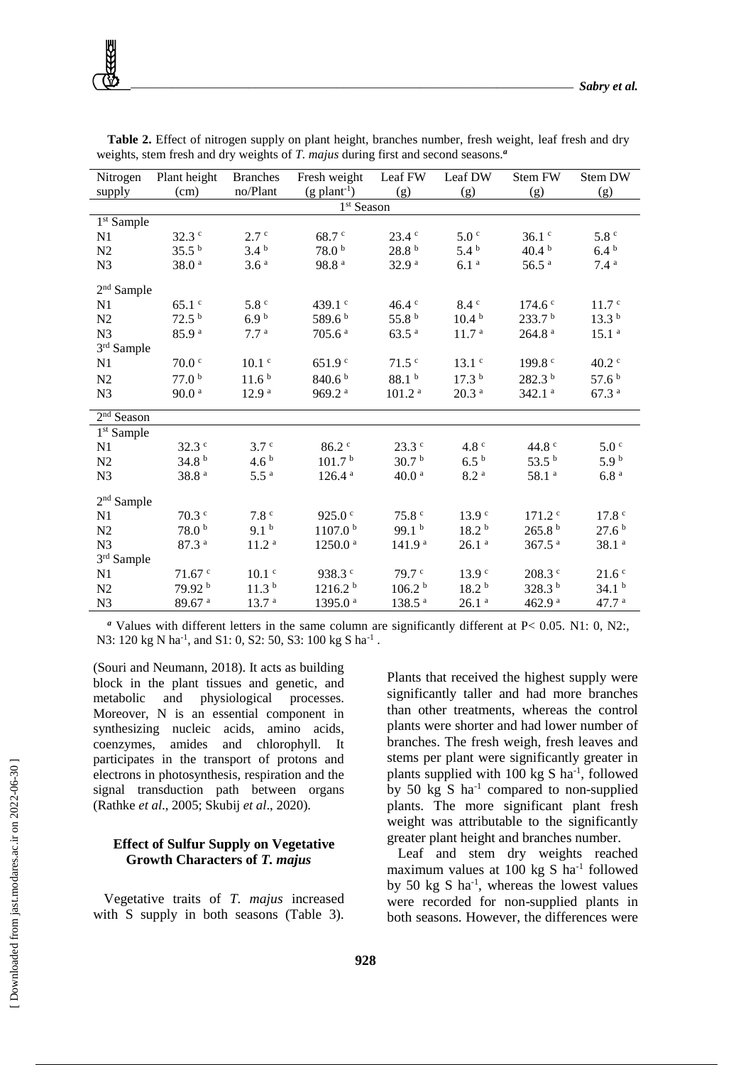| Nitrogen               | Plant height       | <b>Branches</b>   | Fresh weight               | Leaf FW            | Leaf DW           | Stem FW              | Stem DW           |  |
|------------------------|--------------------|-------------------|----------------------------|--------------------|-------------------|----------------------|-------------------|--|
| supply                 | (cm)               | no/Plant          | $(g$ plant <sup>-1</sup> ) | (g)                | (g)               | (g)                  | (g)               |  |
| 1 <sup>st</sup> Season |                    |                   |                            |                    |                   |                      |                   |  |
| $1st$ Sample           |                    |                   |                            |                    |                   |                      |                   |  |
| N <sub>1</sub>         | $32.3$ $\degree$   | 2.7c              | $68.7$ $\degree$           | $23.4^{\circ}$     | 5.0 <sup>c</sup>  | $36.1$ $\degree$     | 5.8 <sup>c</sup>  |  |
| N <sub>2</sub>         | 35.5 <sup>b</sup>  | 3.4 <sup>b</sup>  | 78.0 <sup>b</sup>          | 28.8 <sup>b</sup>  | $5.4^{b}$         | 40.4 <sup>b</sup>    | $6.4^{b}$         |  |
| N <sub>3</sub>         | 38.0 <sup>a</sup>  | 3.6 <sup>a</sup>  | 98.8 <sup>a</sup>          | 32.9 <sup>a</sup>  | 6.1 <sup>a</sup>  | 56.5 <sup>a</sup>    | 7.4 <sup>a</sup>  |  |
| $2nd$ Sample           |                    |                   |                            |                    |                   |                      |                   |  |
| N1                     | $65.1$ $\degree$   | 5.8 <sup>c</sup>  | 439.1 $\degree$            | 46.4 c             | 8.4 <sup>c</sup>  | 174.6 <sup>c</sup>   | 11.7 <sup>c</sup> |  |
| N <sub>2</sub>         | 72.5 <sup>b</sup>  | 6.9 <sup>b</sup>  | 589.6 <sup>b</sup>         | 55.8 $^{\rm b}$    | 10.4 <sup>b</sup> | 233.7 <sup>b</sup>   | 13.3 <sup>b</sup> |  |
| N <sub>3</sub>         | 85.9 <sup>a</sup>  | 7.7 <sup>a</sup>  | 705.6 <sup>a</sup>         | 63.5 <sup>a</sup>  | 11.7 <sup>a</sup> | 264.8 <sup>a</sup>   | 15.1 <sup>a</sup> |  |
| $3^{\rm rd}$ Sample    |                    |                   |                            |                    |                   |                      |                   |  |
| N <sub>1</sub>         | $70.0$ $\degree$   | $10.1$ $\degree$  | 651.9 <sup>c</sup>         | $71.5$ $\degree$   | $13.1$ $\degree$  | 199.8 $\degree$      | $40.2$ $\degree$  |  |
| N <sub>2</sub>         | 77.0 <sup>b</sup>  | 11.6 <sup>b</sup> | 840.6 <sup>b</sup>         | 88.1 <sup>b</sup>  | 17.3 <sup>b</sup> | 282.3 b              | 57.6 <sup>b</sup> |  |
| N <sub>3</sub>         | 90.0 <sup>a</sup>  | 12.9 <sup>a</sup> | 969.2 <sup>a</sup>         | 101.2 <sup>a</sup> | 20.3 <sup>a</sup> | $342.1$ <sup>a</sup> | 67.3 <sup>a</sup> |  |
| $2nd$ Season           |                    |                   |                            |                    |                   |                      |                   |  |
| 1 <sup>st</sup> Sample |                    |                   |                            |                    |                   |                      |                   |  |
| N <sub>1</sub>         | $32.3^{\circ}$     | 3.7 <sup>c</sup>  | $86.2$ $\degree$           | $23.3$ $\degree$   | 4.8 $^{\circ}$    | 44.8 $^{\circ}$      | 5.0 <sup>c</sup>  |  |
| N <sub>2</sub>         | 34.8 <sup>b</sup>  | 4.6 <sup>b</sup>  | 101.7 <sup>b</sup>         | 30.7 <sup>b</sup>  | $6.5^{b}$         | 53.5 $^{\rm b}$      | 5.9 <sup>b</sup>  |  |
| N <sub>3</sub>         | 38.8 <sup>a</sup>  | 5.5 <sup>a</sup>  | 126.4 <sup>a</sup>         | 40.0 <sup>a</sup>  | 8.2 <sup>a</sup>  | 58.1 <sup>a</sup>    | 6.8 <sup>a</sup>  |  |
| $2nd$ Sample           |                    |                   |                            |                    |                   |                      |                   |  |
| N <sub>1</sub>         | $70.3$ $\degree$   | 7.8 <sup>c</sup>  | 925.0 $\degree$            | 75.8 <sup>c</sup>  | 13.9 <sup>c</sup> | $171.2$ <sup>c</sup> | 17.8 <sup>c</sup> |  |
| N2                     | $78.0$ $^{\rm b}$  | 9.1 <sup>b</sup>  | 1107.0 <sup>b</sup>        | 99.1 $^{\rm b}$    | 18.2 <sup>b</sup> | 265.8 <sup>b</sup>   | 27.6 <sup>b</sup> |  |
| N <sub>3</sub>         | 87.3 <sup>a</sup>  | 11.2 <sup>a</sup> | 1250.0 <sup>a</sup>        | 141.9 <sup>a</sup> | 26.1 <sup>a</sup> | $367.5$ <sup>a</sup> | 38.1 <sup>a</sup> |  |
| 3rd Sample             |                    |                   |                            |                    |                   |                      |                   |  |
| N <sub>1</sub>         | $71.67$ $\degree$  | $10.1$ $\degree$  | 938.3 <sup>c</sup>         | 79.7 <sup>c</sup>  | 13.9 <sup>c</sup> | $208.3$ $\degree$    | 21.6 <sup>c</sup> |  |
| N <sub>2</sub>         | 79.92 b            | 11.3 <sup>b</sup> | 1216.2 <sup>b</sup>        | 106.2 <sup>b</sup> | 18.2 <sup>b</sup> | 328.3 b              | 34.1 <sup>b</sup> |  |
| N <sub>3</sub>         | 89.67 <sup>a</sup> | 13.7 <sup>a</sup> | 1395.0 <sup>a</sup>        | 138.5 <sup>a</sup> | 26.1 <sup>a</sup> | 462.9 <sup>a</sup>   | 47.7 <sup>a</sup> |  |

**Table 2.** Effect of nitrogen supply on plant height, branches number, fresh weight, leaf fresh and dry weights, stem fresh and dry weights of *T. majus* during first and second seasons.<sup>*a*</sup>

*<sup>a</sup>* Values with different letters in the same column are significantly different at P< 0.05. N1: 0, N2:, N3: 120 kg N ha<sup>-1</sup>, and S1: 0, S2: 50, S3: 100 kg S ha<sup>-1</sup>.

(Souri and Neumann, 2018). It acts as building block in the plant tissues and genetic, and metabolic and physiological processes. Moreover, N is an essential component in synthesizing nucleic acids, amino acids, coenzymes, amides and chlorophyll. It participates in the transport of protons and electrons in photosynthesis, respiration and the signal transduction path between organs (Rathke *et al*., 2005; Skubij *et al*., 2020).

## **Effect of Sulfur Supply on Vegetative Growth Characters of** *T. majus*

Vegetative traits of *T. majus* increased with S supply in both seasons (Table 3). Plants that received the highest supply were significantly taller and had more branches than other treatments, whereas the control plants were shorter and had lower number of branches. The fresh weigh, fresh leaves and stems per plant were significantly greater in plants supplied with 100 kg S ha<sup>-1</sup>, followed by 50 kg S ha<sup>-1</sup> compared to non-supplied plants. The more significant plant fresh weight was attributable to the significantly greater plant height and branches number.

Leaf and stem dry weights reached maximum values at 100 kg S ha<sup>-1</sup> followed by 50 kg S ha<sup>-1</sup>, whereas the lowest values were recorded for non-supplied plants in both seasons. However, the differences were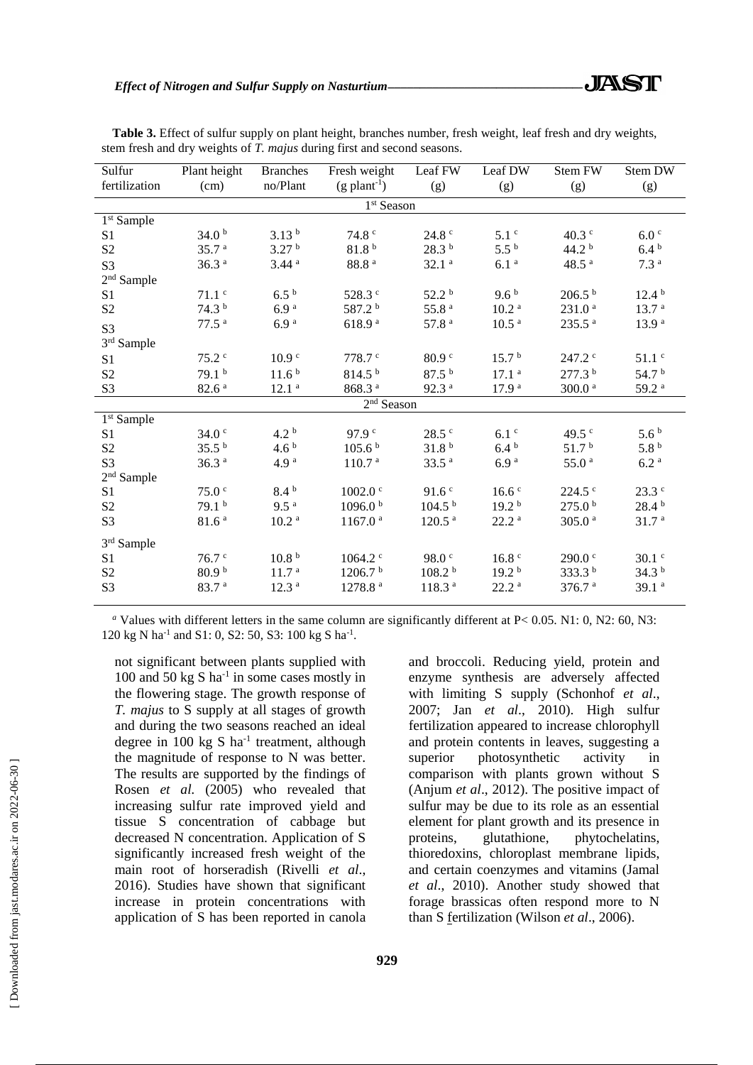| Plant height      | <b>Branches</b>                                                                  | Fresh weight                                                           | Leaf FW                                                                                | Leaf DW                                                                            | <b>Stem FW</b>                                                           | Stem DW                                                                |  |  |
|-------------------|----------------------------------------------------------------------------------|------------------------------------------------------------------------|----------------------------------------------------------------------------------------|------------------------------------------------------------------------------------|--------------------------------------------------------------------------|------------------------------------------------------------------------|--|--|
| (cm)              | no/Plant                                                                         | $(g$ plant <sup>-1</sup> )                                             | (g)                                                                                    | (g)                                                                                | (g)                                                                      | (g)                                                                    |  |  |
| $1st$ Season      |                                                                                  |                                                                        |                                                                                        |                                                                                    |                                                                          |                                                                        |  |  |
|                   |                                                                                  |                                                                        |                                                                                        |                                                                                    |                                                                          |                                                                        |  |  |
| 34.0 <sup>b</sup> | 3.13 <sup>b</sup>                                                                | 74.8 <sup>c</sup>                                                      | 24.8 <sup>c</sup>                                                                      | 5.1 <sup>c</sup>                                                                   | $40.3$ $\degree$                                                         | 6.0 <sup>c</sup>                                                       |  |  |
| 35.7 <sup>a</sup> | 3.27 <sup>b</sup>                                                                | 81.8 <sup>b</sup>                                                      | 28.3 <sup>b</sup>                                                                      | $5.5^{\circ}$                                                                      | 44.2 <sup>b</sup>                                                        | $6.4^{b}$                                                              |  |  |
| 36.3 <sup>a</sup> | $3.44$ <sup>a</sup>                                                              | 88.8 <sup>a</sup>                                                      | 32.1 <sup>a</sup>                                                                      | 6.1 <sup>a</sup>                                                                   | 48.5 <sup>a</sup>                                                        | 7.3 <sup>a</sup>                                                       |  |  |
|                   |                                                                                  |                                                                        |                                                                                        |                                                                                    |                                                                          |                                                                        |  |  |
| $71.1$ c          | $6.5^{b}$                                                                        | 528.3 c                                                                | 52.2 <sup>b</sup>                                                                      | 9.6 <sup>b</sup>                                                                   | $206.5^{b}$                                                              | $12.4^{b}$                                                             |  |  |
| 74.3 <sup>b</sup> | 6.9 <sup>a</sup>                                                                 | 587.2 <sup>b</sup>                                                     | $55.8$ $^{\rm a}$                                                                      | 10.2 <sup>a</sup>                                                                  | 231.0 <sup>a</sup>                                                       | 13.7 <sup>a</sup>                                                      |  |  |
| 77.5 <sup>a</sup> | 6.9 <sup>a</sup>                                                                 | 618.9 <sup>a</sup>                                                     | 57.8 <sup>a</sup>                                                                      | 10.5 <sup>a</sup>                                                                  | 235.5 <sup>a</sup>                                                       | 13.9 <sup>a</sup>                                                      |  |  |
|                   |                                                                                  |                                                                        |                                                                                        |                                                                                    |                                                                          |                                                                        |  |  |
| 75.2 <sup>c</sup> | 10.9 <sup>c</sup>                                                                | $778.7$ $\degree$                                                      | 80.9 <sup>c</sup>                                                                      | 15.7 <sup>b</sup>                                                                  | $247.2$ $\degree$                                                        | $51.1$ $\degree$                                                       |  |  |
| 79.1 <sup>b</sup> | 11.6 <sup>b</sup>                                                                | 814.5 <sup>b</sup>                                                     | 87.5 <sup>b</sup>                                                                      | 17.1 <sup>a</sup>                                                                  | 277.3 <sup>b</sup>                                                       | 54.7 <sup>b</sup>                                                      |  |  |
| 82.6 <sup>a</sup> | 12.1 <sup>a</sup>                                                                | 868.3 <sup>a</sup>                                                     | 92.3 <sup>a</sup>                                                                      | 17.9 <sup>a</sup>                                                                  | 300.0 <sup>a</sup>                                                       | 59.2 <sup>a</sup>                                                      |  |  |
| $2nd$ Season      |                                                                                  |                                                                        |                                                                                        |                                                                                    |                                                                          |                                                                        |  |  |
|                   |                                                                                  |                                                                        |                                                                                        |                                                                                    |                                                                          |                                                                        |  |  |
| 34.0 <sup>c</sup> | 4.2 <sup>b</sup>                                                                 | 97.9 <sup>c</sup>                                                      | $28.5$ $\degree$                                                                       | 6.1 <sup>c</sup>                                                                   | $49.5$ c                                                                 | 5.6 <sup>b</sup>                                                       |  |  |
|                   |                                                                                  |                                                                        |                                                                                        |                                                                                    |                                                                          | 5.8 <sup>b</sup>                                                       |  |  |
| 36.3 <sup>a</sup> | 4.9 <sup>a</sup>                                                                 | 110.7 <sup>a</sup>                                                     | 33.5 <sup>a</sup>                                                                      | 6.9 <sup>a</sup>                                                                   | 55.0 <sup>a</sup>                                                        | 6.2 <sup>a</sup>                                                       |  |  |
|                   |                                                                                  |                                                                        |                                                                                        |                                                                                    |                                                                          |                                                                        |  |  |
|                   |                                                                                  |                                                                        |                                                                                        |                                                                                    |                                                                          | $23.3^{\circ}$                                                         |  |  |
|                   |                                                                                  |                                                                        |                                                                                        |                                                                                    |                                                                          | 28.4 <sup>b</sup>                                                      |  |  |
|                   |                                                                                  |                                                                        |                                                                                        |                                                                                    |                                                                          | 31.7 <sup>a</sup>                                                      |  |  |
|                   |                                                                                  |                                                                        |                                                                                        |                                                                                    |                                                                          |                                                                        |  |  |
| 76.7 <sup>c</sup> | 10.8 <sup>b</sup>                                                                | $1064.2$ °                                                             | 98.0 <sup>c</sup>                                                                      | 16.8 <sup>c</sup>                                                                  | $290.0$ c                                                                | $30.1$ $\degree$                                                       |  |  |
| 80.9 <sup>b</sup> | 11.7 <sup>a</sup>                                                                | 1206.7 <sup>b</sup>                                                    | 108.2 <sup>b</sup>                                                                     | 19.2 <sup>b</sup>                                                                  | 333.3 <sup>b</sup>                                                       | 34.3 <sup>b</sup>                                                      |  |  |
| 83.7 <sup>a</sup> | 12.3 <sup>a</sup>                                                                | 1278.8 <sup>a</sup>                                                    | 118.3 <sup>a</sup>                                                                     | 22.2 <sup>a</sup>                                                                  | 376.7 <sup>a</sup>                                                       | 39.1 <sup>a</sup>                                                      |  |  |
|                   | 35.5 <sup>b</sup><br>75.0 <sup>c</sup><br>79.1 <sup>b</sup><br>81.6 <sup>a</sup> | 4.6 <sup>b</sup><br>$8.4^{b}$<br>9.5 <sup>a</sup><br>10.2 <sup>a</sup> | 105.6 <sup>b</sup><br>$1002.0$ $\degree$<br>1096.0 <sup>b</sup><br>1167.0 <sup>a</sup> | 31.8 <sup>b</sup><br>91.6 <sup>c</sup><br>104.5 <sup>b</sup><br>120.5 <sup>a</sup> | $6.4^{b}$<br>16.6 <sup>c</sup><br>19.2 <sup>b</sup><br>22.2 <sup>a</sup> | 51.7 <sup>b</sup><br>$224.5$ $\degree$<br>275.0 <sup>b</sup><br>305.0a |  |  |

**Table 3.** Effect of sulfur supply on plant height, branches number, fresh weight, leaf fresh and dry weights, stem fresh and dry weights of *T. majus* during first and second seasons.

*<sup>a</sup>* Values with different letters in the same column are significantly different at P< 0.05. N1: 0, N2: 60, N3: 120 kg N ha<sup>-1</sup> and S1: 0, S2: 50, S3: 100 kg S ha<sup>-1</sup>.

not significant between plants supplied with 100 and 50 kg S ha-1 in some cases mostly in the flowering stage. The growth response of *T. majus* to S supply at all stages of growth and during the two seasons reached an ideal degree in  $100 \text{ kg } S$  ha<sup>-1</sup> treatment, although the magnitude of response to N was better. The results are supported by the findings of Rosen *et al.* (2005) who revealed that increasing sulfur rate improved yield and tissue S concentration of cabbage but decreased N concentration. Application of S significantly increased fresh weight of the main root of horseradish (Rivelli *et al*., 2016). Studies have shown that significant increase in protein concentrations with application of S has been reported in canola

and broccoli. Reducing yield, protein and enzyme synthesis are adversely affected with limiting S supply (Schonhof *et al*., 2007; Jan *et al*., 2010). High sulfur fertilization appeared to increase chlorophyll and protein contents in leaves, suggesting a superior photosynthetic activity in comparison with plants grown without S (Anjum *et al*., 2012). The positive impact of sulfur may be due to its role as an essential element for plant growth and its presence in proteins, glutathione, phytochelatins, thioredoxins, chloroplast membrane lipids, and certain coenzymes and vitamins (Jamal *et al*., 2010). Another study showed that forage brassicas often respond more to N than S fertilization (Wilson *et al*., 2006).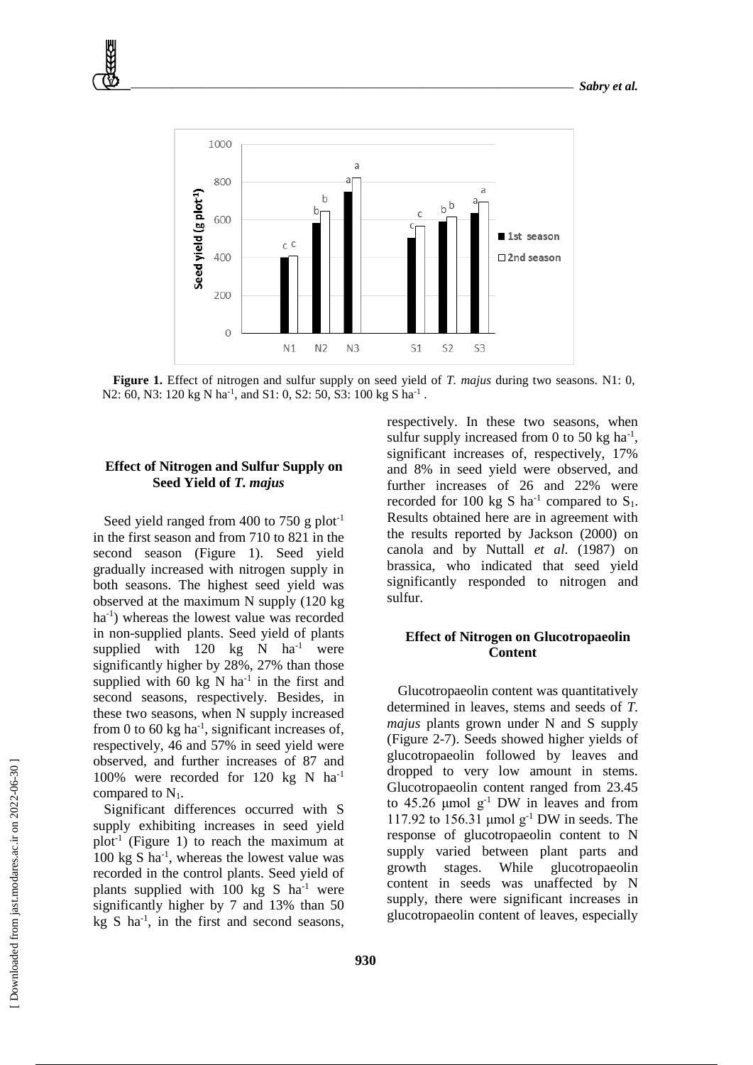

**Figure 1.** Effect of nitrogen and sulfur supply on seed yield of *T. majus* during two seasons. N1: 0, N2: 60, N3: 120 kg N ha<sup>-1</sup>, and S1: 0, S2: 50, S3: 100 kg S ha<sup>-1</sup>.

## **Effect of Nitrogen and Sulfur Supply on Seed Yield of** *T. majus*

Seed yield ranged from 400 to 750 g plot<sup>-1</sup> in the first season and from 710 to 821 in the second season (Figure 1). Seed yield gradually increased with nitrogen supply in both seasons. The highest seed yield was observed at the maximum N supply (120 kg ha<sup>-1</sup>) whereas the lowest value was recorded in non-supplied plants. Seed yield of plants supplied with 120 kg N  $ha^{-1}$  were significantly higher by 28%, 27% than those supplied with 60 kg N  $ha^{-1}$  in the first and second seasons, respectively. Besides, in these two seasons, when N supply increased from 0 to 60 kg  $ha^{-1}$ , significant increases of, respectively, 46 and 57% in seed yield were observed, and further increases of 87 and 100% were recorded for 120 kg N ha-1 compared to  $N_1$ .

Significant differences occurred with S supply exhibiting increases in seed yield plot<sup>-1</sup> (Figure 1) to reach the maximum at 100 kg S ha<sup>-1</sup>, whereas the lowest value was recorded in the control plants. Seed yield of plants supplied with 100 kg S  $ha^{-1}$  were significantly higher by 7 and 13% than 50  $kg S$  ha<sup>-1</sup>, in the first and second seasons, respectively. In these two seasons, when sulfur supply increased from 0 to 50 kg  $ha^{-1}$ , significant increases of, respectively, 17% and 8% in seed yield were observed, and further increases of 26 and 22% were recorded for 100 kg S ha<sup>-1</sup> compared to  $S_1$ . Results obtained here are in agreement with the results reported by Jackson (2000) on canola and by Nuttall *et al*. (1987) on brassica, who indicated that seed yield significantly responded to nitrogen and sulfur.

## **Effect of Nitrogen on Glucotropaeolin Content**

Glucotropaeolin content was quantitatively determined in leaves, stems and seeds of *T. majus* plants grown under N and S supply (Figure 2-7). Seeds showed higher yields of glucotropaeolin followed by leaves and dropped to very low amount in stems. Glucotropaeolin content ranged from 23.45 to  $45.26 \mu \text{mol g}^{-1}$  DW in leaves and from 117.92 to 156.31  $\mu$ mol g<sup>-1</sup> DW in seeds. The response of glucotropaeolin content to N supply varied between plant parts and growth stages. While glucotropaeolin content in seeds was unaffected by N supply, there were significant increases in glucotropaeolin content of leaves, especially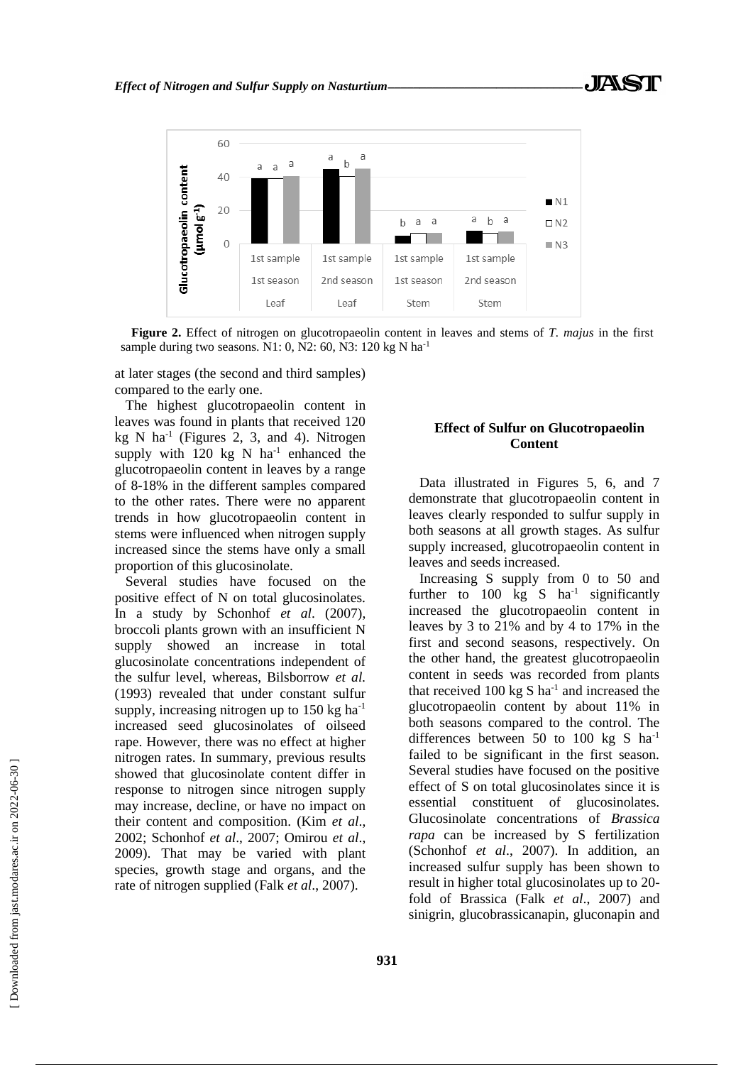

**Figure 2.** Effect of nitrogen on glucotropaeolin content in leaves and stems of *T. majus* in the first sample during two seasons. N1: 0, N2: 60, N3: 120 kg N ha<sup>-1</sup>

at later stages (the second and third samples) compared to the early one.

The highest glucotropaeolin content in leaves was found in plants that received 120  $kg \text{ N}$  ha<sup>-1</sup> (Figures 2, 3, and 4). Nitrogen supply with  $120$  kg N ha<sup>-1</sup> enhanced the glucotropaeolin content in leaves by a range of 8-18% in the different samples compared to the other rates. There were no apparent trends in how glucotropaeolin content in stems were influenced when nitrogen supply increased since the stems have only a small proportion of this glucosinolate.

Several studies have focused on the positive effect of N on total glucosinolates. In a study by Schonhof *et al*. (2007), broccoli plants grown with an insufficient N supply showed an increase in total glucosinolate concentrations independent of the sulfur level, whereas, Bilsborrow *et al.*  (1993) revealed that under constant sulfur supply, increasing nitrogen up to  $150 \text{ kg}$  ha<sup>-1</sup> increased seed glucosinolates of oilseed rape. However, there was no effect at higher nitrogen rates. In summary, previous results showed that glucosinolate content differ in response to nitrogen since nitrogen supply may increase, decline, or have no impact on their content and composition. (Kim *et al*., 2002; Schonhof *et al*., 2007; Omirou *et al*., 2009). That may be varied with plant species, growth stage and organs, and the rate of nitrogen supplied (Falk *et al*., 2007).

# **Effect of Sulfur on Glucotropaeolin Content**

Data illustrated in Figures 5, 6, and 7 demonstrate that glucotropaeolin content in leaves clearly responded to sulfur supply in both seasons at all growth stages. As sulfur supply increased, glucotropaeolin content in leaves and seeds increased.

Increasing S supply from 0 to 50 and further to 100 kg S  $ha^{-1}$  significantly increased the glucotropaeolin content in leaves by 3 to 21% and by 4 to 17% in the first and second seasons, respectively. On the other hand, the greatest glucotropaeolin content in seeds was recorded from plants that received 100 kg S  $ha^{-1}$  and increased the glucotropaeolin content by about 11% in both seasons compared to the control. The differences between 50 to 100 kg S ha<sup>-1</sup> failed to be significant in the first season. Several studies have focused on the positive effect of S on total glucosinolates since it is essential constituent of glucosinolates. Glucosinolate concentrations of *Brassica rapa* can be increased by S fertilization (Schonhof *et al*., 2007). In addition, an increased sulfur supply has been shown to result in higher total glucosinolates up to 20 fold of Brassica (Falk *et al*., 2007) and sinigrin, glucobrassicanapin, gluconapin and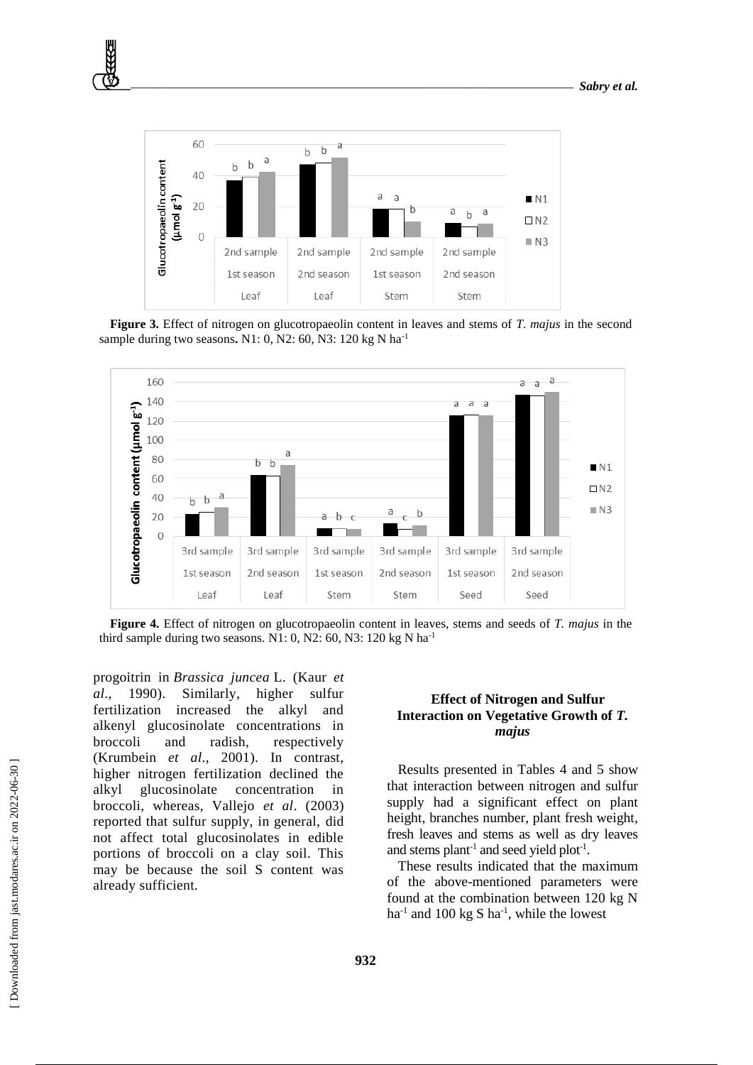

**Figure 3.** Effect of nitrogen on glucotropaeolin content in leaves and stems of *T. majus* in the second sample during two seasons**.** N1: 0, N2: 60, N3: 120 kg N ha-1



**Figure 4.** Effect of nitrogen on glucotropaeolin content in leaves, stems and seeds of *T. majus* in the third sample during two seasons. N1: 0, N2: 60, N3: 120 kg N ha<sup>-1</sup>

progoitrin in *Brassica juncea* L. (Kaur *et al*., 1990). Similarly, higher sulfur fertilization increased the alkyl and alkenyl glucosinolate concentrations in broccoli and radish, respectively (Krumbein *et al*., 2001). In contrast, higher nitrogen fertilization declined the alkyl glucosinolate concentration in broccoli, whereas, Vallejo *et al*. (2003) reported that sulfur supply, in general, did not affect total glucosinolates in edible portions of broccoli on a clay soil. This may be because the soil S content was already sufficient.

## **Effect of Nitrogen and Sulfur Interaction on Vegetative Growth of** *T. majus*

Results presented in Tables 4 and 5 show that interaction between nitrogen and sulfur supply had a significant effect on plant height, branches number, plant fresh weight, fresh leaves and stems as well as dry leaves and stems plant<sup>-1</sup> and seed yield plot<sup>-1</sup>.

These results indicated that the maximum of the above-mentioned parameters were found at the combination between 120 kg N ha<sup>-1</sup> and 100 kg S ha<sup>-1</sup>, while the lowest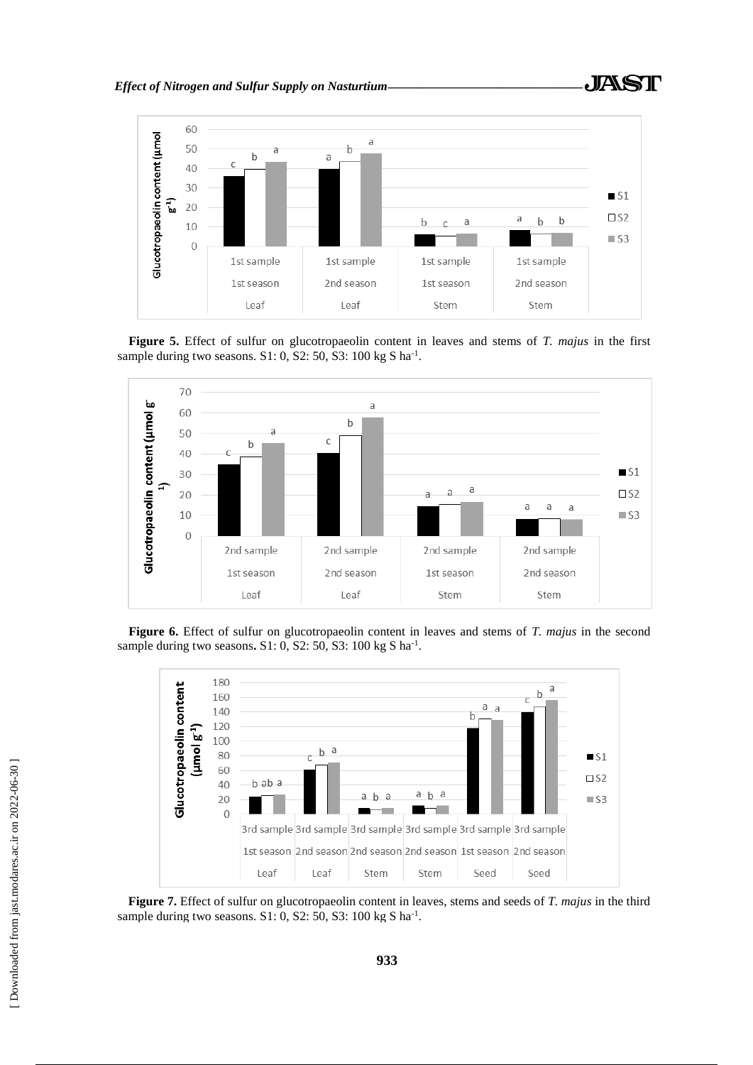

**Figure 5.** Effect of sulfur on glucotropaeolin content in leaves and stems of *T. majus* in the first sample during two seasons.  $S1: 0$ ,  $S2: 50$ ,  $S3: 100$  kg S ha<sup>-1</sup>.



**Figure 6.** Effect of sulfur on glucotropaeolin content in leaves and stems of *T. majus* in the second sample during two seasons. S1: 0, S2: 50, S3: 100 kg S ha<sup>-1</sup>.



**Figure 7.** Effect of sulfur on glucotropaeolin content in leaves, stems and seeds of *T. majus* in the third sample during two seasons.  $S1: 0$ ,  $S2: 50$ ,  $S3: 100$  kg S ha<sup>-1</sup>.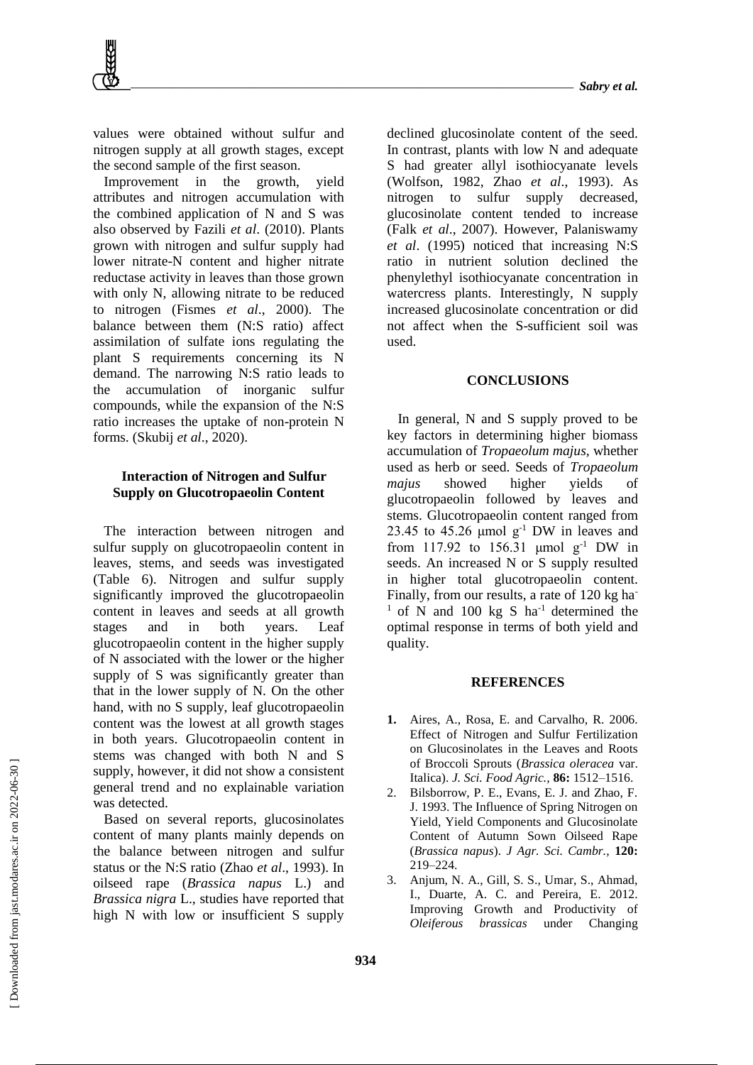values were obtained without sulfur and nitrogen supply at all growth stages, except the second sample of the first season.

Improvement in the growth, yield attributes and nitrogen accumulation with the combined application of N and S was also observed by Fazili *et al*. (2010). Plants grown with nitrogen and sulfur supply had lower nitrate-N content and higher nitrate reductase activity in leaves than those grown with only N, allowing nitrate to be reduced to nitrogen (Fismes *et al*., 2000). The balance between them (N:S ratio) affect assimilation of sulfate ions regulating the plant S requirements concerning its N demand. The narrowing N:S ratio leads to the accumulation of inorganic sulfur compounds, while the expansion of the N:S ratio increases the uptake of non-protein N forms. (Skubij *et al*., 2020).

## **Interaction of Nitrogen and Sulfur Supply on Glucotropaeolin Content**

The interaction between nitrogen and sulfur supply on glucotropaeolin content in leaves, stems, and seeds was investigated (Table 6). Nitrogen and sulfur supply significantly improved the glucotropaeolin content in leaves and seeds at all growth stages and in both years. Leaf glucotropaeolin content in the higher supply of N associated with the lower or the higher supply of S was significantly greater than that in the lower supply of N. On the other hand, with no S supply, leaf glucotropaeolin content was the lowest at all growth stages in both years. Glucotropaeolin content in stems was changed with both N and S supply, however, it did not show a consistent general trend and no explainable variation was detected.

Based on several reports, glucosinolates content of many plants mainly depends on the balance between nitrogen and sulfur status or the N:S ratio (Zhao *et al*., 1993). In oilseed rape (*Brassica napus* L.) and *Brassica nigra* L., studies have reported that high N with low or insufficient S supply

declined glucosinolate content of the seed. In contrast, plants with low N and adequate S had greater allyl isothiocyanate levels (Wolfson, 1982, Zhao *et al*., 1993). As nitrogen to sulfur supply decreased, glucosinolate content tended to increase (Falk *et al*., 2007). However, Palaniswamy *et al*. (1995) noticed that increasing N:S ratio in nutrient solution declined the phenylethyl isothiocyanate concentration in watercress plants. Interestingly, N supply increased glucosinolate concentration or did not affect when the S-sufficient soil was used.

### **CONCLUSIONS**

In general, N and S supply proved to be key factors in determining higher biomass accumulation of *Tropaeolum majus,* whether used as herb or seed. Seeds of *Tropaeolum majus* showed higher yields of glucotropaeolin followed by leaves and stems. Glucotropaeolin content ranged from 23.45 to 45.26  $\mu$ mol  $g^{-1}$  DW in leaves and from 117.92 to 156.31  $\mu$ mol g<sup>-1</sup> DW in seeds. An increased N or S supply resulted in higher total glucotropaeolin content. Finally, from our results, a rate of 120 kg ha-<sup>1</sup> of N and 100 kg S ha<sup>-1</sup> determined the optimal response in terms of both yield and quality.

#### **REFERENCES**

- **1.** Aires, A., Rosa, E. and Carvalho, R. 2006. Effect of Nitrogen and Sulfur Fertilization on Glucosinolates in the Leaves and Roots of Broccoli Sprouts (*Brassica oleracea* var. Italica). *J. Sci. Food Agric.,* **86:** 1512–1516.
- 2. Bilsborrow, P. E., Evans, E. J. and Zhao, F. J. 1993. The Influence of Spring Nitrogen on Yield, Yield Components and Glucosinolate Content of Autumn Sown Oilseed Rape (*Brassica napus*). *J Agr. Sci. Cambr.,* **120:** 219–224.
- 3. Anjum, N. A., Gill, S. S., Umar, S., Ahmad, I., Duarte, A. C. and Pereira, E. 2012. Improving Growth and Productivity of *Oleiferous brassicas* under Changing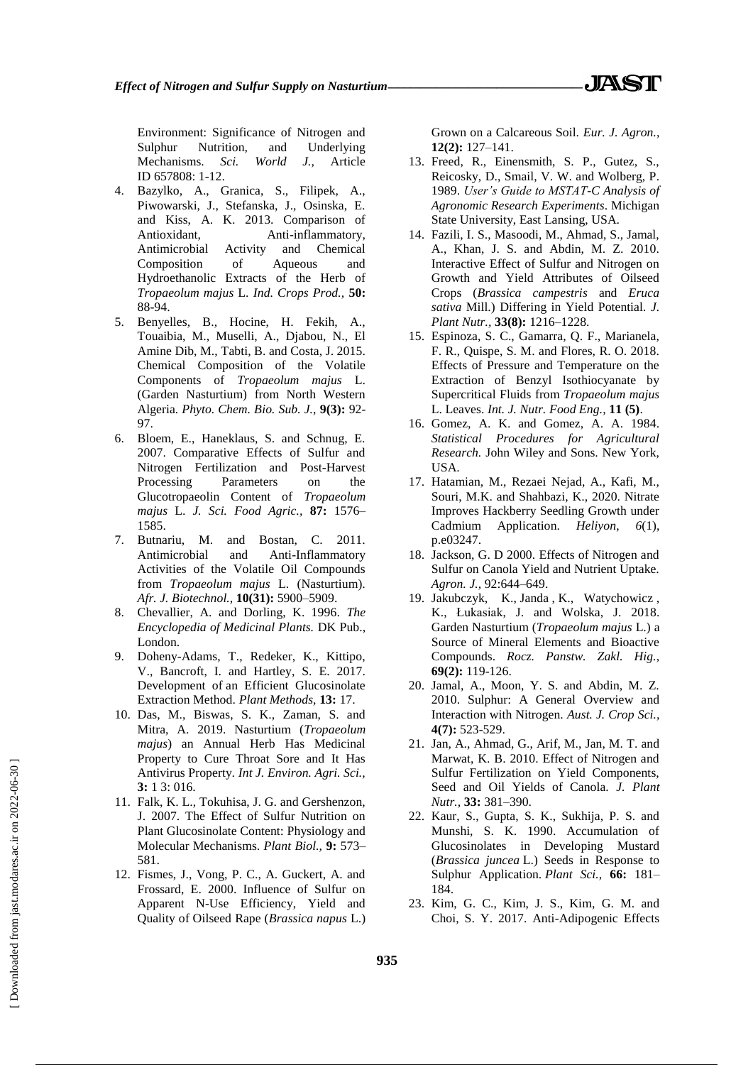- 4. Bazylko, A., Granica, S., Filipek, A., Piwowarski, J., Stefanska, J., Osinska, E. and Kiss, A. K. 2013. Comparison of Antioxidant, Anti-inflammatory, Antimicrobial Activity and Chemical Composition of Aqueous and Hydroethanolic Extracts of the Herb of *Tropaeolum majus* L. *Ind. Crops Prod.,* **50:** 88-94.
- 5. Benyelles, B., Hocine, H. Fekih, A., Touaibia, M., Muselli, A., Djabou, N., El Amine Dib, M., Tabti, B. and Costa, J. 2015. Chemical Composition of the Volatile Components of *Tropaeolum majus* L. (Garden Nasturtium) from North Western Algeria. *Phyto. Chem. Bio. Sub. J.,* **9(3):** 92- 97.
- 6. Bloem, E., Haneklaus, S. and Schnug, E. 2007. Comparative Effects of Sulfur and Nitrogen Fertilization and Post-Harvest Processing Parameters on the Glucotropaeolin Content of *Tropaeolum majus* L. *J. Sci. Food Agric.,* **87:** 1576– 1585.
- 7. Butnariu, M. and Bostan, C. 2011. Antimicrobial and Anti-Inflammatory Activities of the Volatile Oil Compounds from *Tropaeolum majus* L. (Nasturtium). *Afr. J. Biotechnol.,* **10(31):** 5900–5909.
- 8. Chevallier, A. and Dorling, K. 1996. *The Encyclopedia of Medicinal Plants.* DK Pub., London.
- 9. Doheny-Adams, T., Redeker, K., Kittipo, V., Bancroft, I. and Hartley, S. E. 2017. Development of an Efficient Glucosinolate Extraction Method. *Plant Methods,* **13:** 17.
- 10. Das, M., Biswas, S. K., Zaman, S. and Mitra, A. 2019. Nasturtium (*Tropaeolum majus*) an Annual Herb Has Medicinal Property to Cure Throat Sore and It Has Antivirus Property. *Int J. Environ. Agri. Sci.,* **3:** 1 3: 016.
- 11. Falk, K. L., Tokuhisa, J. G. and Gershenzon, J. 2007. The Effect of Sulfur Nutrition on Plant Glucosinolate Content: Physiology and Molecular Mechanisms. *Plant Biol.,* **9:** 573– 581.
- 12. Fismes, J., Vong, P. C., A. Guckert, A. and Frossard, E. 2000. Influence of Sulfur on Apparent N-Use Efficiency, Yield and Quality of Oilseed Rape (*Brassica napus* L.)

Grown on a Calcareous Soil. *Eur. J. Agron.,* **12(2):** 127–141.

- 13. Freed, R., Einensmith, S. P., Gutez, S., Reicosky, D., Smail, V. W. and Wolberg, P. 1989. *User's Guide to MSTAT-C Analysis of Agronomic Research Experiments*. Michigan State University, East Lansing, USA.
- 14. Fazili, I. S., Masoodi, M., Ahmad, S., Jamal, A., Khan, J. S. and Abdin, M. Z. 2010. Interactive Effect of Sulfur and Nitrogen on Growth and Yield Attributes of Oilseed Crops (*Brassica campestris* and *Eruca sativa* Mill.) Differing in Yield Potential. *J. Plant Nutr.,* **33(8):** 1216–1228.
- 15. Espinoza, S. C., Gamarra, Q. F., Marianela, F. R., Quispe, S. M. and Flores, R. O. 2018. Effects of Pressure and Temperature on the Extraction of Benzyl Isothiocyanate by Supercritical Fluids from *Tropaeolum majus* L. Leaves. *Int. J. Nutr. Food Eng.,* **11 (5)**.
- 16. Gomez, A. K. and Gomez, A. A. 1984. *Statistical Procedures for Agricultural Research.* John Wiley and Sons. New York, USA.
- 17. Hatamian, M., Rezaei Nejad, A., Kafi, M., Souri, M.K. and Shahbazi, K., 2020. Nitrate Improves Hackberry Seedling Growth under Cadmium Application. *Heliyon*, *6*(1), p.e03247.
- 18. Jackson, G. D 2000. Effects of Nitrogen and Sulfur on Canola Yield and Nutrient Uptake. *Agron. J.,* 92:644–649.
- 19. [Jakubczyk,](https://pubmed.ncbi.nlm.nih.gov/?term=Jakubczyk+K&cauthor_id=29766690) K., [Janda](https://pubmed.ncbi.nlm.nih.gov/?term=Janda+K&cauthor_id=29766690) , K., Watychowicz , K., [Łukasiak,](https://pubmed.ncbi.nlm.nih.gov/?term=%C5%81ukasiak+J&cauthor_id=29766690) J. and [Wolska,](https://pubmed.ncbi.nlm.nih.gov/?term=Wolska+J&cauthor_id=29766690) J. 2018. Garden Nasturtium (*Tropaeolum majus* L.) a Source of Mineral Elements and Bioactive Compounds. *Rocz. Panstw. Zakl. Hig.,* **69(2):** 119-126.
- 20. Jamal, A., Moon, Y. S. and Abdin, M. Z. 2010. Sulphur: A General Overview and Interaction with Nitrogen. *Aust. J. Crop Sci.,* **4(7):** 523-529.
- 21. Jan, A., Ahmad, G., Arif, M., Jan, M. T. and Marwat, K. B. 2010. Effect of Nitrogen and Sulfur Fertilization on Yield Components, Seed and Oil Yields of Canola. *J. Plant Nutr.,* **33:** 381–390.
- 22. Kaur, S., Gupta, S. K., Sukhija, P. S. and Munshi, S. K. 1990. Accumulation of Glucosinolates in Developing Mustard (*Brassica juncea* L.) Seeds in Response to Sulphur Application. *Plant Sci.,* **66:** 181– 184.
- 23. Kim, G. C., Kim, J. S., Kim, G. M. and Choi, S. Y. 2017. Anti-Adipogenic Effects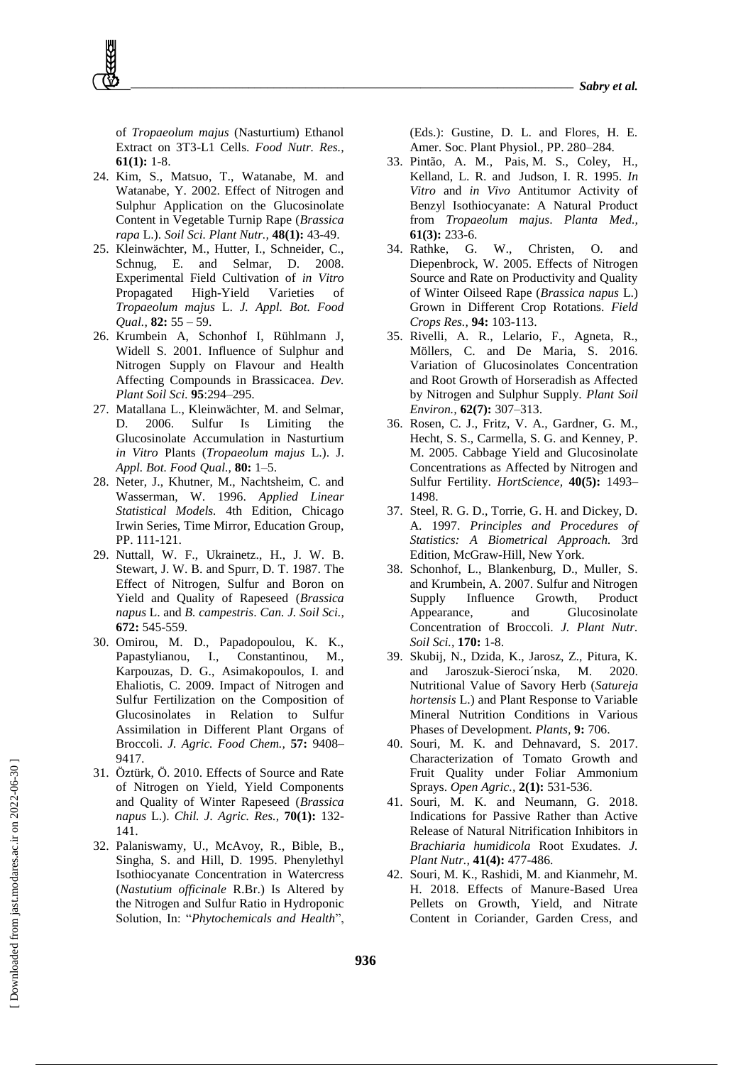of *Tropaeolum majus* (Nasturtium) Ethanol Extract on 3T3-L1 Cells. *Food Nutr. Res.,* **61(1):** 1-8.

- 24. Kim, S., Matsuo, T., Watanabe, M. and Watanabe, Y. 2002. Effect of Nitrogen and Sulphur Application on the Glucosinolate Content in Vegetable Turnip Rape (*Brassica rapa* L.). *Soil Sci. Plant Nutr.,* **48(1):** 43-49.
- 25. Kleinwächter, M., Hutter, I., Schneider, C., Schnug, E. and Selmar, D. 2008. Experimental Field Cultivation of *in Vitro* Propagated High-Yield Varieties of *Tropaeolum majus* L. *J. Appl. Bot. Food Qual.,* **82:** 55 – 59.
- 26. Krumbein A, Schonhof I, Rühlmann J, Widell S. 2001. Influence of Sulphur and Nitrogen Supply on Flavour and Health Affecting Compounds in Brassicacea. *Dev. Plant Soil Sci.* **95**:294–295.
- 27. Matallana L., Kleinwächter, M. and Selmar, D. 2006. Sulfur Is Limiting the Glucosinolate Accumulation in Nasturtium *in Vitro* Plants (*Tropaeolum majus* L.). J. *Appl. Bot. Food Qual.,* **80:** 1–5.
- 28. Neter, J., Khutner, M., Nachtsheim, C. and Wasserman, W. 1996. *Applied Linear Statistical Models.* 4th Edition, Chicago Irwin Series, Time Mirror, Education Group, PP. 111-121.
- 29. Nuttall, W. F., Ukrainetz., H., J. W. B. Stewart, J. W. B. and Spurr, D. T. 1987. The Effect of Nitrogen, Sulfur and Boron on Yield and Quality of Rapeseed (*Brassica napus* L. and *B. campestris*. *Can. J. Soil Sci.,* **672:** 545-559.
- 30. Omirou, M. D., Papadopoulou, K. K., Papastylianou, I., Constantinou, M., Karpouzas, D. G., Asimakopoulos, I. and Ehaliotis, C. 2009. Impact of Nitrogen and Sulfur Fertilization on the Composition of Glucosinolates in Relation to Sulfur Assimilation in Different Plant Organs of Broccoli. *J. Agric. Food Chem.,* **57:** 9408– 9417.
- 31. Öztürk, Ö. 2010. Effects of Source and Rate of Nitrogen on Yield, Yield Components and Quality of Winter Rapeseed (*Brassica napus* L.). *Chil. J. Agric. Res.,* **70(1):** 132- 141.
- 32. Palaniswamy, U., McAvoy, R., Bible, B., Singha, S. and Hill, D. 1995. Phenylethyl Isothiocyanate Concentration in Watercress (*Nastutium officinale* R.Br.) Is Altered by the Nitrogen and Sulfur Ratio in Hydroponic Solution, In: "*Phytochemicals and Health*",

(Eds.): Gustine, D. L. and Flores, H. E. Amer. Soc. Plant Physiol., PP. 280–284.

- 33. [Pintão,](https://pubmed.ncbi.nlm.nih.gov/?term=Pint%C3%A3o+AM&cauthor_id=7617765) A. M., Pais, M. S., Coley, H., Kelland, L. R. and Judson, I. R. 1995. *In Vitro* and *in Vivo* Antitumor Activity of Benzyl Isothiocyanate: A Natural Product from *Tropaeolum majus*. *Planta Med.,* **61(3):** 233-6.
- 34. Rathke, G. W., Christen, O. and Diepenbrock, W. 2005. Effects of Nitrogen Source and Rate on Productivity and Quality of Winter Oilseed Rape (*Brassica napus* L.) Grown in Different Crop Rotations. *Field Crops Res.,* **94:** 103-113.
- 35. Rivelli, A. R., Lelario, F., Agneta, R., Möllers, C. and De Maria, S. 2016. Variation of Glucosinolates Concentration and Root Growth of Horseradish as Affected by Nitrogen and Sulphur Supply. *Plant Soil Environ.,* **62(7):** 307–313.
- 36. Rosen, C. J., Fritz, V. A., Gardner, G. M., Hecht, S. S., Carmella, S. G. and Kenney, P. M. 2005. Cabbage Yield and Glucosinolate Concentrations as Affected by Nitrogen and Sulfur Fertility. *HortScience,* **40(5):** 1493– 1498.
- 37. Steel, R. G. D., Torrie, G. H. and Dickey, D. A. 1997. *Principles and Procedures of Statistics: A Biometrical Approach.* 3rd Edition, McGraw-Hill, New York.
- 38. Schonhof, L., Blankenburg, D., Muller, S. and Krumbein, A. 2007. Sulfur and Nitrogen Supply Influence Growth, Product Appearance, and Glucosinolate Concentration of Broccoli. *J. Plant Nutr. Soil Sci.,* **170:** 1-8.
- 39. Skubij, N., Dzida, K., Jarosz, Z., Pitura, K. and Jaroszuk-Sieroci´nska, M. 2020. Nutritional Value of Savory Herb (*Satureja hortensis* L.) and Plant Response to Variable Mineral Nutrition Conditions in Various Phases of Development*. Plants,* **9:** 706.
- 40. Souri, M. K. and Dehnavard, S. 2017. Characterization of Tomato Growth and Fruit Quality under Foliar Ammonium Sprays. *Open Agric.,* **2(1):** 531-536.
- 41. Souri, M. K. and Neumann, G. 2018. Indications for Passive Rather than Active Release of Natural Nitrification Inhibitors in *Brachiaria humidicola* Root Exudates. *J. Plant Nutr.,* **41(4):** 477-486.
- 42. Souri, M. K., Rashidi, M. and Kianmehr, M. H. 2018. Effects of Manure-Based Urea Pellets on Growth, Yield, and Nitrate Content in Coriander, Garden Cress, and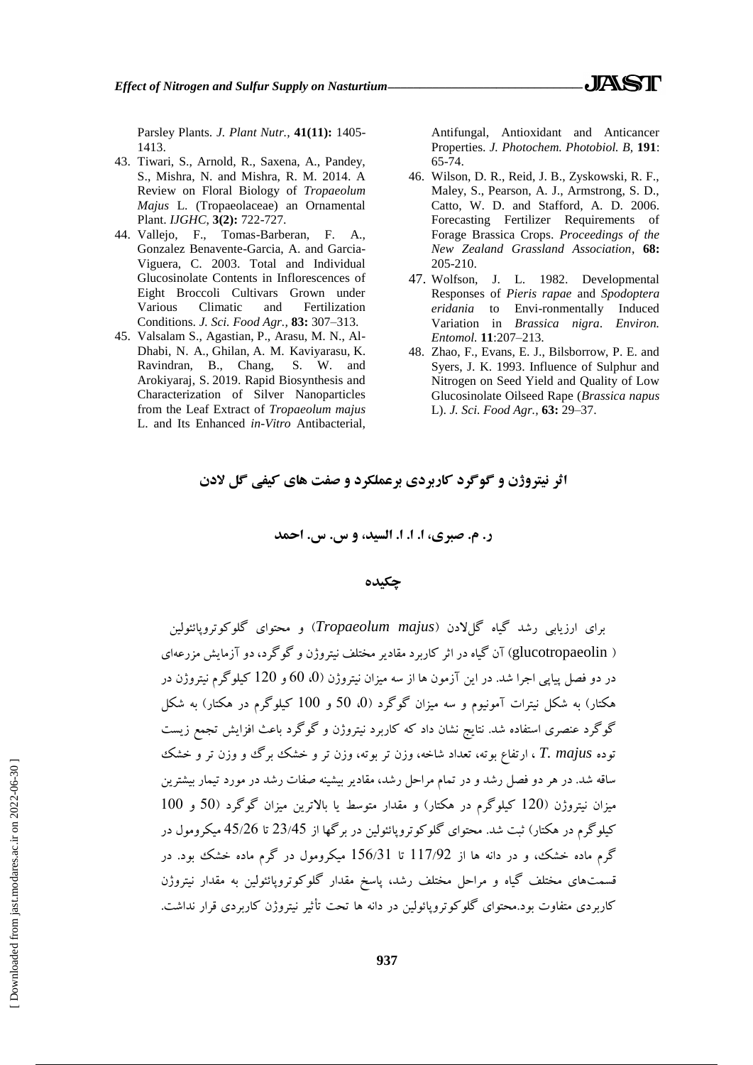- 43. Tiwari, S., Arnold, R., Saxena, A., Pandey, S., Mishra, N. and Mishra, R. M. 2014. A Review on Floral Biology of *Tropaeolum Majus* L. (Tropaeolaceae) an Ornamental Plant. *IJGHC*, **3(2):** 722-727.
- 44. Vallejo, F., Tomas-Barberan, F. A., Gonzalez Benavente-Garcia, A. and Garcia-Viguera, C. 2003. Total and Individual Glucosinolate Contents in Inflorescences of Eight Broccoli Cultivars Grown under Various Climatic and Fertilization Conditions. *J. Sci. Food Agr.,* **83:** 307–313.
- 45. [Valsalam](https://pubmed.ncbi.nlm.nih.gov/?term=Valsalam+S&cauthor_id=30594044) S., Agastian, P., Arasu, M. N., Al-Dhabi, N. A., [Ghilan,](https://pubmed.ncbi.nlm.nih.gov/?term=Ghilan+AM&cauthor_id=30594044) A. M. [Kaviyarasu,](https://pubmed.ncbi.nlm.nih.gov/?term=Kaviyarasu+K&cauthor_id=30594044) K. [Ravindran,](https://pubmed.ncbi.nlm.nih.gov/?term=Ravindran+B&cauthor_id=30594044) B., Chang, S. W. and Arokiyaraj, S. 2019. Rapid Biosynthesis and Characterization of Silver Nanoparticles from the Leaf Extract of *Tropaeolum majus* L. and Its Enhanced *in-Vitro* Antibacterial,

Antifungal, Antioxidant and Anticancer Properties. *J. Photochem. Photobiol. B,* **191**: 65-74.

. IASTR

- 46. Wilson, D. R., Reid, J. B., Zyskowski, R. F., Maley, S., Pearson, A. J., Armstrong, S. D., Catto, W. D. and Stafford, A. D. 2006. Forecasting Fertilizer Requirements of Forage Brassica Crops. *Proceedings of the New Zealand Grassland Association*, **68:** 205-210.
- 47. Wolfson, J. L. 1982. Developmental Responses of *Pieris rapae* and *Spodoptera eridania* to Envi-ronmentally Induced Variation in *Brassica nigra*. *Environ. Entomol.* **11**:207–213.
- 48. Zhao, F., Evans, E. J., Bilsborrow, P. E. and Syers, J. K. 1993. Influence of Sulphur and Nitrogen on Seed Yield and Quality of Low Glucosinolate Oilseed Rape (*Brassica napus* L). *J. Sci. Food Agr.,* **63:** 29–37.

**اثر نیتروژن و گوگرد کاربردی برعملکرد و صفت های کیفی گل الدن**

**ر. م. صبری، ا. ا. ا. السید، و س. س. احمد**

## **چکیده**

برای ارزیابی رشد گیاه گلالدن )*majus Tropaeolum* )و محتوای گلوکوتروپائئولین ) glucotropaeolin )آن گیاه در اثر کاربرد مقادیر مختلف نیتروژن و گوگرد، دو آزمایش مزرعهای در دو فصل پیاپی اجرا شد. در این آزمون ها از سه میزان نیتروژن )،0 00 و 020 کیلوگرم نیتروژن در هکتار( به شکل نیترات آمونیوم و سه میزان گوگرد )،0 00 و 000 کیلوگرم در هکتار( به شکل گوگرد عنصری استفاده شد. نتایج نشان داد که کاربرد نیتروژن و گوگرد باعث افزایش تجمع زیست توده *majus .T* ، ارتفاع بوته، تعداد شاخه، وزن تر بوته، وزن تر و خشک برگ و وزن تر و خشک ساقه شد. در هر دو فصل رشد و در تمام مراحل رشد، مقادیر بیشینه صفات رشد در مورد تیمار بیشترین میزان نیتروژن (120 کیلوگرم در هکتار) و مقدار متوسط یا بالاترین میزان گوگرد (50 و 100 کیلوگرم در هکتار( ثبت شد. محتوای گلوکوتروپائئولین در برگها از 22/50 تا 50/20 میکرومول در گرم ماده خشک، و در دانه ها از 001/22 تا 000/20 میکرومول در گرم ماده خشک بود. در قسمتهای مختلف گیاه و مراحل مختلف رشد، پاسخ مقدار گلوکوتروپائئولین به مقدار نیتروژن کاربردی متفاوت بود.محتوای گلوکوتروپائولین در دانه ها تحت تأثیر نیتروژن کاربردی قرار نداشت.